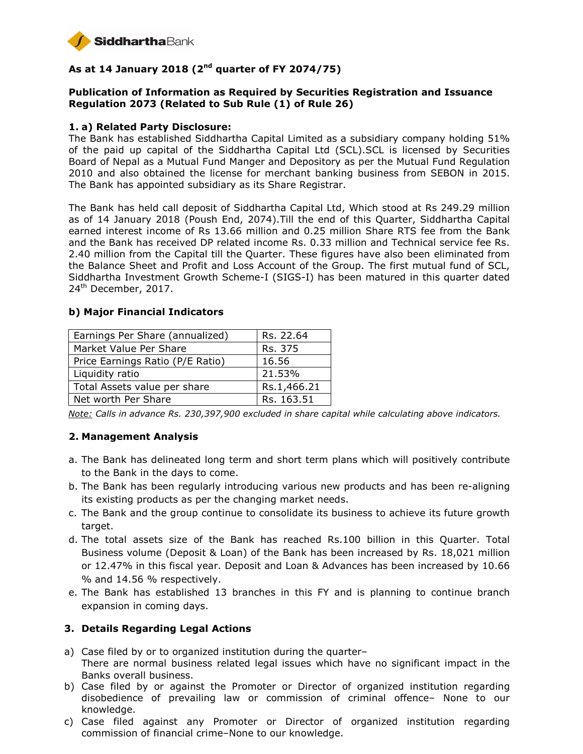

# **As at 14 January 2018 (2nd quarter of FY 2074/75)**

#### **Publication of Information as Required by Securities Registration and Issuance Regulation 2073 (Related to Sub Rule (1) of Rule 26)**

#### **1. a) Related Party Disclosure:**

The Bank has established Siddhartha Capital Limited as a subsidiary company holding 51% of the paid up capital of the Siddhartha Capital Ltd (SCL).SCL is licensed by Securities Board of Nepal as a Mutual Fund Manger and Depository as per the Mutual Fund Regulation 2010 and also obtained the license for merchant banking business from SEBON in 2015. The Bank has appointed subsidiary as its Share Registrar.

The Bank has held call deposit of Siddhartha Capital Ltd, Which stood at Rs 249.29 million as of 14 January 2018 (Poush End, 2074).Till the end of this Quarter, Siddhartha Capital earned interest income of Rs 13.66 million and 0.25 million Share RTS fee from the Bank and the Bank has received DP related income Rs. 0.33 million and Technical service fee Rs. 2.40 million from the Capital till the Quarter. These figures have also been eliminated from the Balance Sheet and Profit and Loss Account of the Group. The first mutual fund of SCL, Siddhartha Investment Growth Scheme-I (SIGS-I) has been matured in this quarter dated  $24<sup>th</sup>$  December, 2017.

#### **b) Major Financial Indicators**

| Earnings Per Share (annualized)  | Rs. 22.64   |
|----------------------------------|-------------|
| Market Value Per Share           | Rs. 375     |
| Price Earnings Ratio (P/E Ratio) | 16.56       |
| Liquidity ratio                  | 21.53%      |
| Total Assets value per share     | Rs.1,466.21 |
| Net worth Per Share              | Rs. 163.51  |

*Note: Calls in advance Rs. 230,397,900 excluded in share capital while calculating above indicators.* 

#### **2. Management Analysis**

- a. The Bank has delineated long term and short term plans which will positively contribute to the Bank in the days to come.
- b. The Bank has been regularly introducing various new products and has been re-aligning its existing products as per the changing market needs.
- c. The Bank and the group continue to consolidate its business to achieve its future growth target.
- d. The total assets size of the Bank has reached Rs.100 billion in this Quarter. Total Business volume (Deposit & Loan) of the Bank has been increased by Rs. 18,021 million or 12.47% in this fiscal year. Deposit and Loan & Advances has been increased by 10.66 % and 14.56 % respectively.
- e. The Bank has established 13 branches in this FY and is planning to continue branch expansion in coming days.

#### **3. Details Regarding Legal Actions**

- a) Case filed by or to organized institution during the quarter– There are normal business related legal issues which have no significant impact in the Banks overall business.
- b) Case filed by or against the Promoter or Director of organized institution regarding disobedience of prevailing law or commission of criminal offence– None to our knowledge.
- c) Case filed against any Promoter or Director of organized institution regarding commission of financial crime–None to our knowledge.